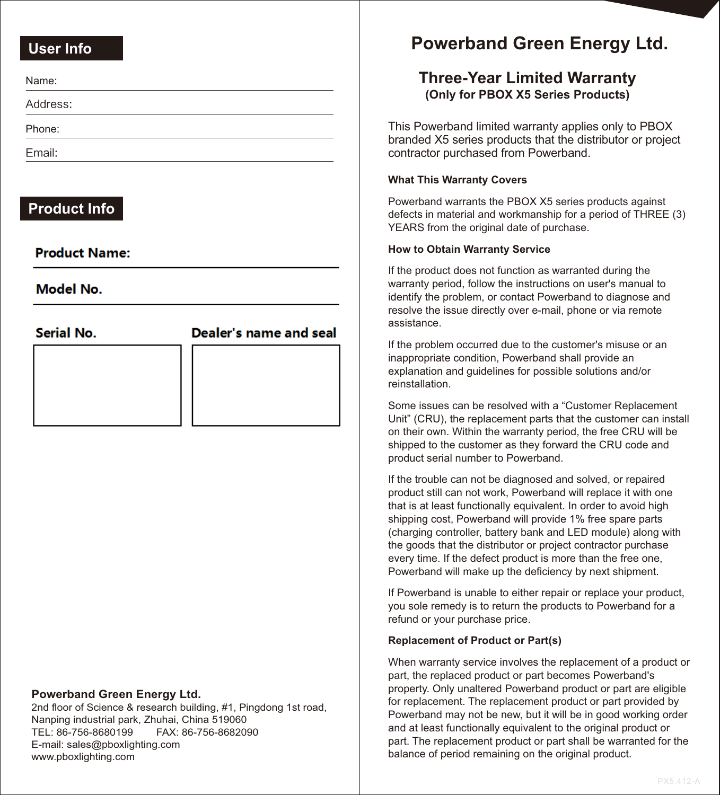### **User Info**

Address:

Phone:

Email:

### **Product Info**

### **Product Name:**

Model No

**Serial No.** 

### Dealer's name and seal

#### **Powerband Green Energy Ltd.**

2nd floor of Science & research building, #1, Pingdong 1st road, Nanping industrial park, Zhuhai, China 519060 TEL: 86-756-8680199 FAX: 86-756-8682090 E-mail: sales@pboxlighting.com www.pboxlighting.com

# **Powerband Green Energy Ltd.**

## **Three-Year Limited Warranty (Only for PBOX X5 Series Products)**

This Powerband limited warranty applies only to PBOX branded X5 series products that the distributor or project contractor purchased from Powerband.

### **What This Warranty Covers**

Powerband warrants the PBOX X5 series products against defects in material and workmanship for a period of THREE (3) YEARS from the original date of purchase.

### **How to Obtain Warranty Service**

If the product does not function as warranted during the warranty period, follow the instructions on user's manual to identify the problem, or contact Powerband to diagnose and resolve the issue directly over e-mail, phone or via remote assistance.

If the problem occurred due to the customer's misuse or an inappropriate condition, Powerband shall provide an explanation and guidelines for possible solutions and/or reinstallation.

Some issues can be resolved with a "Customer Replacement Unit" (CRU), the replacement parts that the customer can install on their own. Within the warranty period, the free CRU will be shipped to the customer as they forward the CRU code and product serial number to Powerband.

If the trouble can not be diagnosed and solved, or repaired product still can not work, Powerband will replace it with one that is at least functionally equivalent. In order to avoid high shipping cost, Powerband will provide 1% free spare parts (charging controller, battery bank and LED module) along with the goods that the distributor or project contractor purchase every time. If the defect product is more than the free one, Powerband will make up the deficiency by next shipment.

If Powerband is unable to either repair or replace your product, you sole remedy is to return the products to Powerband for a refund or your purchase price.

#### **Replacement of Product or Part(s)**

When warranty service involves the replacement of a product or part, the replaced product or part becomes Powerband's property. Only unaltered Powerband product or part are eligible for replacement. The replacement product or part provided by Powerband may not be new, but it will be in good working order and at least functionally equivalent to the original product or part. The replacement product or part shall be warranted for the balance of period remaining on the original product.